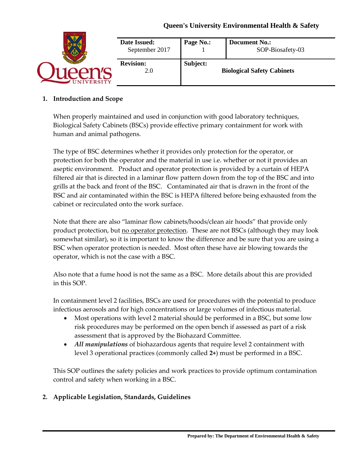|                 | Date Issued:<br>September 2017 | Page No.: | <b>Document No.:</b><br>SOP-Biosafety-03 |
|-----------------|--------------------------------|-----------|------------------------------------------|
| <b>IVERSITY</b> | <b>Revision:</b><br>2.0        | Subject:  | <b>Biological Safety Cabinets</b>        |

#### **1. Introduction and Scope**

When properly maintained and used in conjunction with good laboratory techniques, Biological Safety Cabinets (BSCs) provide effective primary containment for work with human and animal pathogens.

The type of BSC determines whether it provides only protection for the operator, or protection for both the operator and the material in use i.e. whether or not it provides an aseptic environment. Product and operator protection is provided by a curtain of HEPA filtered air that is directed in a laminar flow pattern down from the top of the BSC and into grills at the back and front of the BSC. Contaminated air that is drawn in the front of the BSC and air contaminated within the BSC is HEPA filtered before being exhausted from the cabinet or recirculated onto the work surface.

Note that there are also "laminar flow cabinets/hoods/clean air hoods" that provide only product protection, but no operator protection. These are not BSCs (although they may look somewhat similar), so it is important to know the difference and be sure that you are using a BSC when operator protection is needed. Most often these have air blowing towards the operator, which is not the case with a BSC.

Also note that a fume hood is not the same as a BSC. More details about this are provided in this SOP.

In containment level 2 facilities, BSCs are used for procedures with the potential to produce infectious aerosols and for high concentrations or large volumes of infectious material.

- Most operations with level 2 material should be performed in a BSC, but some low risk procedures may be performed on the open bench if assessed as part of a risk assessment that is approved by the Biohazard Committee.
- *All manipulations* of biohazardous agents that require level 2 containment with level 3 operational practices (commonly called **2+**) must be performed in a BSC.

This SOP outlines the safety policies and work practices to provide optimum contamination control and safety when working in a BSC.

#### **2. Applicable Legislation, Standards, Guidelines**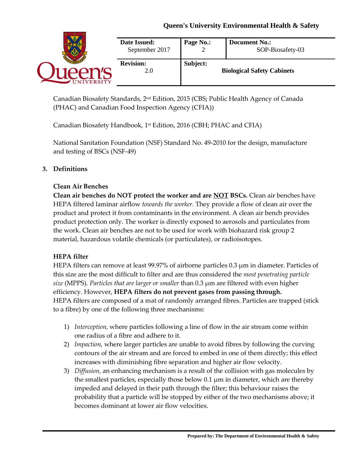|                  | Date Issued:<br>September 2017 | Page No.: | <b>Document No.:</b><br>SOP-Biosafety-03 |
|------------------|--------------------------------|-----------|------------------------------------------|
| <b>NIVERSITY</b> | <b>Revision:</b><br>2.0        | Subject:  | <b>Biological Safety Cabinets</b>        |

Canadian Biosafety Standards,  $2<sup>nd</sup>$  Edition, 2015 (CBS; Public Health Agency of Canada (PHAC) and Canadian Food Inspection Agency (CFIA))

Canadian Biosafety Handbook, 1st Edition, 2016 (CBH; PHAC and CFIA)

National Sanitation Foundation (NSF) Standard No. 49-2010 for the design, manufacture and testing of BSCs (NSF-49)

## **3. Definitions**

#### **Clean Air Benches**

**Clean air benches do NOT protect the worker and are NOT BSCs.** Clean air benches have HEPA filtered laminar airflow *towards the worker.* They provide a flow of clean air over the product and protect it from contaminants in the environment. A clean air bench provides product protection only. The worker is directly exposed to aerosols and particulates from the work. Clean air benches are not to be used for work with biohazard risk group 2 material, hazardous volatile chemicals (or particulates), or radioisotopes.

#### **HEPA filter**

HEPA filters can remove at least  $99.97\%$  of airborne particles 0.3  $\mu$ m in diameter. Particles of this size are the most difficult to filter and are thus considered the *most penetrating particle size* (MPPS). *Particles that are larger or smaller* than 0.3 µm are filtered with even higher efficiency. However, **HEPA filters do not prevent gases from passing through.** HEPA filters are composed of a mat of randomly arranged fibres. Particles are trapped (stick to a fibre) by one of the following three mechanisms:

- 1) *Interception,* where particles following a line of flow in the air stream come within one radius of a fibre and adhere to it.
- 2) *Impaction,* where larger particles are unable to avoid fibres by following the curving contours of the air stream and are forced to embed in one of them directly; this effect increases with diminishing fibre separation and higher air flow velocity.
- 3) *Diffusion,* an enhancing mechanism is a result of the collision with gas molecules by the smallest particles, especially those below 0.1 µm in diameter, which are thereby impeded and delayed in their path through the filter; this behaviour raises the probability that a particle will be stopped by either of the two mechanisms above; it becomes dominant at lower air flow velocities.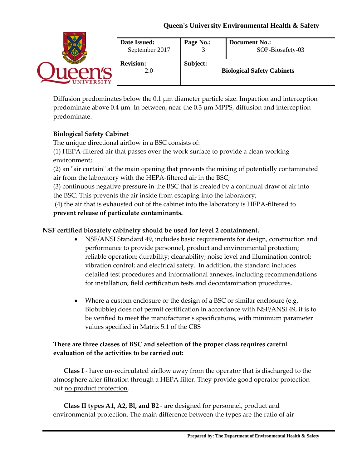|                 | Date Issued:<br>September 2017 | Page No.: | <b>Document No.:</b><br>SOP-Biosafety-03 |
|-----------------|--------------------------------|-----------|------------------------------------------|
| <b>IVERSITY</b> | <b>Revision:</b><br>2.0        | Subject:  | <b>Biological Safety Cabinets</b>        |

Diffusion predominates below the 0.1  $\mu$ m diameter particle size. Impaction and interception predominate above 0.4 µm*.* In between, near the 0.3 µm MPPS, diffusion and interception predominate.

## **Biological Safety Cabinet**

The unique directional airflow in a BSC consists of:

(1) HEPA-filtered air that passes over the work surface to provide a clean working environment;

(2) an "air curtain" at the main opening that prevents the mixing of potentially contaminated air from the laboratory with the HEPA-filtered air in the BSC;

(3) continuous negative pressure in the BSC that is created by a continual draw of air into the BSC. This prevents the air inside from escaping into the laboratory;

(4) the air that is exhausted out of the cabinet into the laboratory is HEPA-filtered to **prevent release of particulate contaminants.**

#### **NSF certified biosafety cabinetry should be used for level 2 containment.**

- NSF/ANSI Standard 49, includes basic requirements for design, construction and performance to provide personnel, product and environmental protection; reliable operation; durability; cleanability; noise level and illumination control; vibration control; and electrical safety. In addition, the standard includes detailed test procedures and informational annexes, including recommendations for installation, field certification tests and decontamination procedures.
- Where a custom enclosure or the design of a BSC or similar enclosure (e.g. Biobubble) does not permit certification in accordance with NSF/ANSI 49, it is to be verified to meet the manufacturer's specifications, with minimum parameter values specified in Matrix 5.1 of the CBS

## **There are three classes of BSC and selection of the proper class requires careful evaluation of the activities to be carried out:**

**Class I** - have un-recirculated airflow away from the operator that is discharged to the atmosphere after filtration through a HEPA filter. They provide good operator protection but no product protection.

**Class II types A1, A2, Bl, and B2** - are designed for personnel, product and environmental protection. The main difference between the types are the ratio of air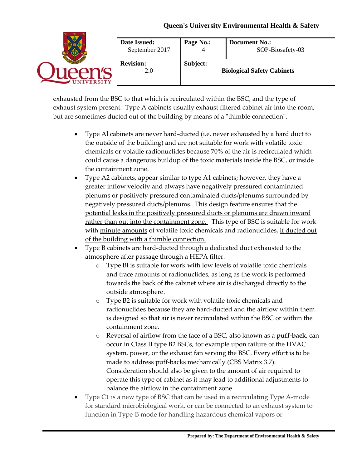|                  | <b>Date Issued:</b><br>September 2017 | Page No.: | <b>Document No.:</b><br>SOP-Biosafety-03 |
|------------------|---------------------------------------|-----------|------------------------------------------|
| <b>NIVERSITY</b> | <b>Revision:</b><br>2.0               | Subject:  | <b>Biological Safety Cabinets</b>        |

exhausted from the BSC to that which is recirculated within the BSC, and the type of exhaust system present. Type A cabinets usually exhaust filtered cabinet air into the room, but are sometimes ducted out of the building by means of a "thimble connection".

- Type Al cabinets are never hard-ducted (i.e. never exhausted by a hard duct to the outside of the building) and are not suitable for work with volatile toxic chemicals or volatile radionuclides because 70% of the air is recirculated which could cause a dangerous buildup of the toxic materials inside the BSC, or inside the containment zone.
- Type A2 cabinets, appear similar to type A1 cabinets; however, they have a greater inflow velocity and always have negatively pressured contaminated plenums or positively pressured contaminated ducts/plenums surrounded by negatively pressured ducts/plenums. This design feature ensures that the potential leaks in the positively pressured ducts or plenums are drawn inward rather than out into the containment zone. This type of BSC is suitable for work with minute amounts of volatile toxic chemicals and radionuclides, if ducted out of the building with a thimble connection.
- Type B cabinets are hard-ducted through a dedicated duct exhausted to the atmosphere after passage through a HEPA filter.
	- o Type Bl is suitable for work with low levels of volatile toxic chemicals and trace amounts of radionuclides, as long as the work is performed towards the back of the cabinet where air is discharged directly to the outside atmosphere.
	- o Type B2 is suitable for work with volatile toxic chemicals and radionuclides because they are hard-ducted and the airflow within them is designed so that air is never recirculated within the BSC or within the containment zone.
	- o Reversal of airflow from the face of a BSC, also known as a **puff-back**, can occur in Class II type B2 BSCs, for example upon failure of the HVAC system, power, or the exhaust fan serving the BSC. Every effort is to be made to address puff-backs mechanically (CBS Matrix 3.7). Consideration should also be given to the amount of air required to operate this type of cabinet as it may lead to additional adjustments to balance the airflow in the containment zone.
- Type C1 is a new type of BSC that can be used in a recirculating Type A-mode for standard microbiological work, or can be connected to an exhaust system to function in Type-B mode for handling hazardous chemical vapors or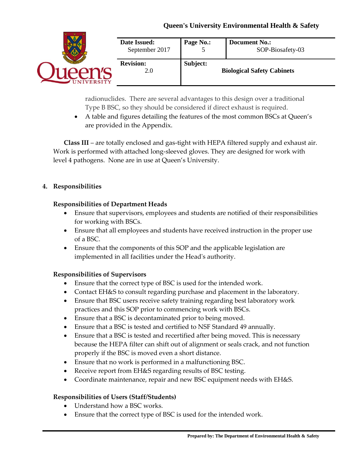|                  | Date Issued:<br>September 2017 | Page No.: | <b>Document No.:</b><br>SOP-Biosafety-03 |
|------------------|--------------------------------|-----------|------------------------------------------|
| <b>NIVERSITY</b> | <b>Revision:</b><br>2.0        | Subject:  | <b>Biological Safety Cabinets</b>        |

radionuclides. There are several advantages to this design over a traditional Type B BSC, so they should be considered if direct exhaust is required.

 A table and figures detailing the features of the most common BSCs at Queen's are provided in the Appendix.

**Class III** – are totally enclosed and gas-tight with HEPA filtered supply and exhaust air. Work is performed with attached long-sleeved gloves. They are designed for work with level 4 pathogens. None are in use at Queen's University.

#### **4. Responsibilities**

#### **Responsibilities of Department Heads**

- Ensure that supervisors, employees and students are notified of their responsibilities for working with BSCs.
- Ensure that all employees and students have received instruction in the proper use of a BSC.
- Ensure that the components of this SOP and the applicable legislation are implemented in all facilities under the Head's authority.

#### **Responsibilities of Supervisors**

- Ensure that the correct type of BSC is used for the intended work.
- Contact EH&S to consult regarding purchase and placement in the laboratory.
- Ensure that BSC users receive safety training regarding best laboratory work practices and this SOP prior to commencing work with BSCs.
- Ensure that a BSC is decontaminated prior to being moved.
- Ensure that a BSC is tested and certified to NSF Standard 49 annually.
- Ensure that a BSC is tested and recertified after being moved. This is necessary because the HEPA filter can shift out of alignment or seals crack, and not function properly if the BSC is moved even a short distance.
- Ensure that no work is performed in a malfunctioning BSC.
- Receive report from EH&S regarding results of BSC testing.
- Coordinate maintenance, repair and new BSC equipment needs with EH&S.

#### **Responsibilities of Users (Staff/Students)**

- Understand how a BSC works.
- Ensure that the correct type of BSC is used for the intended work.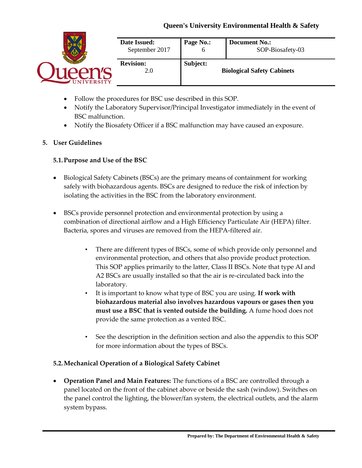|                  | Date Issued:            | Page No.:    | <b>Document No.:</b>              |
|------------------|-------------------------|--------------|-----------------------------------|
|                  | September 2017          | <sub>0</sub> | SOP-Biosafety-03                  |
| <b>NIVERSITY</b> | <b>Revision:</b><br>2.0 | Subject:     | <b>Biological Safety Cabinets</b> |

- Follow the procedures for BSC use described in this SOP.
- Notify the Laboratory Supervisor/Principal Investigator immediately in the event of BSC malfunction.
- Notify the Biosafety Officer if a BSC malfunction may have caused an exposure.

#### **5. User Guidelines**

#### **5.1.Purpose and Use of the BSC**

- Biological Safety Cabinets (BSCs) are the primary means of containment for working safely with biohazardous agents. BSCs are designed to reduce the risk of infection by isolating the activities in the BSC from the laboratory environment.
- BSCs provide personnel protection and environmental protection by using a combination of directional airflow and a High Efficiency Particulate Air (HEPA) filter. Bacteria, spores and viruses are removed from the HEPA-filtered air.
	- There are different types of BSCs, some of which provide only personnel and environmental protection, and others that also provide product protection. This SOP applies primarily to the latter, Class II BSCs. Note that type AI and A2 BSCs are usually installed so that the air is re-circulated back into the laboratory.
	- It is important to know what type of BSC you are using. **If work with biohazardous material also involves hazardous vapours or gases then you must use a BSC that is vented outside the building.** A fume hood does not provide the same protection as a vented BSC.
	- See the description in the definition section and also the appendix to this SOP for more information about the types of BSCs.

#### **5.2.Mechanical Operation of a Biological Safety Cabinet**

 **Operation Panel and Main Features:** The functions of a BSC are controlled through a panel located on the front of the cabinet above or beside the sash (window). Switches on the panel control the lighting, the blower/fan system, the electrical outlets, and the alarm system bypass.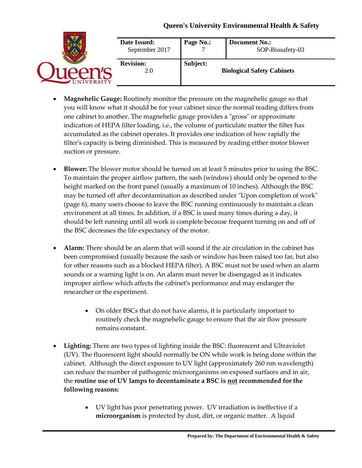|                 | Date Issued:<br>September 2017 | Page No.: | <b>Document No.:</b><br>SOP-Biosafety-03 |
|-----------------|--------------------------------|-----------|------------------------------------------|
| <b>IVERSITY</b> | <b>Revision:</b><br>2.0        | Subject:  | <b>Biological Safety Cabinets</b>        |

- **Magnehelic Gauge:** Routinely monitor the pressure on the magnehelic gauge so that you will know what it should be for your cabinet since the normal reading differs from one cabinet to another. The magnehelic gauge provides a "gross" or approximate indication of HEPA filter loading, i.e., the volume of particulate matter the filter has accumulated as the cabinet operates. It provides one indication of how rapidly the filter's capacity is being diminished. This is measured by reading either motor blower suction or pressure.
- **Blower:** The blower motor should be turned on at least 5 minutes prior to using the BSC. To maintain the proper airflow pattern, the sash (window) should only be opened to the height marked on the front panel (usually a maximum of 10 inches). Although the BSC may be turned off after decontamination as described under "Upon completion of work" (page 6), many users choose to leave the BSC running continuously to maintain a clean environment at all times. In addition, if a BSC is used many times during a day, it should be left running until all work is complete because frequent turning on and off of the BSC decreases the life expectancy of the motor.
- **Alarm:** There should be an alarm that will sound if the air circulation in the cabinet has been compromised (usually because the sash or window has been raised too far, but also for other reasons such as a blocked HEPA filter). A BSC must not be used when an alarm sounds or a warning light is on. An alarm must never be disengaged as it indicates improper airflow which affects the cabinet's performance and may endanger the researcher or the experiment.
	- On older BSCs that do not have alarms, it is particularly important to routinely check the magnehelic gauge to ensure that the air flow pressure remains constant.
- **Lighting:** There are two types of lighting inside the BSC: fluorescent and Ultraviolet (UV). The fluorescent light should normally be ON while work is being done within the cabinet. Although the direct exposure to UV light (approximately 260 nm wavelength) can reduce the number of pathogenic microorganisms on exposed surfaces and in air, the **routine use of UV lamps to decontaminate a BSC is not recommended for the following reasons:** 
	- UV light has poor penetrating power. UV irradiation is ineffective if a **microorganism** is protected by dust, dirt, or organic matter. A liquid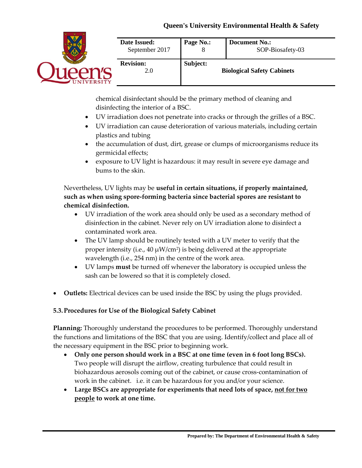

chemical disinfectant should be the primary method of cleaning and disinfecting the interior of a BSC.

- UV irradiation does not penetrate into cracks or through the grilles of a BSC.
- UV irradiation can cause deterioration of various materials, including certain plastics and tubing
- the accumulation of dust, dirt, grease or clumps of microorganisms reduce its germicidal effects;
- exposure to UV light is hazardous: it may result in severe eye damage and bums to the skin.

Nevertheless, UV lights may be **useful in certain situations, if properly maintained, such as when using spore-forming bacteria since bacterial spores are resistant to chemical disinfection.**

- UV irradiation of the work area should only be used as a secondary method of disinfection in the cabinet. Never rely on UV irradiation alone to disinfect a contaminated work area.
- The UV lamp should be routinely tested with a UV meter to verify that the proper intensity (i.e.,  $40 \mu W/cm^2$ ) is being delivered at the appropriate wavelength (i.e., 254 nm) in the centre of the work area.
- UV lamps **must** be turned off whenever the laboratory is occupied unless the sash can be lowered so that it is completely closed.
- **Outlets:** Electrical devices can be used inside the BSC by using the plugs provided.

#### **5.3.Procedures for Use of the Biological Safety Cabinet**

**Planning:** Thoroughly understand the procedures to be performed. Thoroughly understand the functions and limitations of the BSC that you are using. Identify/collect and place all of the necessary equipment in the BSC prior to beginning work.

- **Only one person should work in a BSC at one time (even in 6 foot long BSCs).** Two people will disrupt the airflow, creating turbulence that could result in biohazardous aerosols coming out of the cabinet, or cause cross-contamination of work in the cabinet. i.e. it can be hazardous for you and/or your science.
- **Large BSCs are appropriate for experiments that need lots of space, not for two people to work at one time.**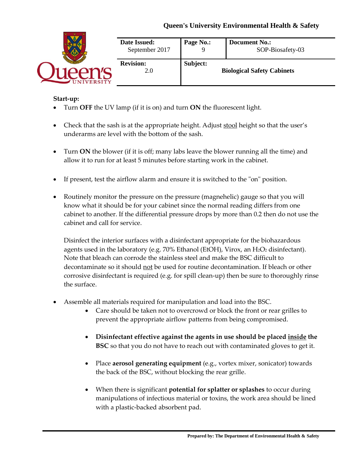|                   | Date Issued:<br>September 2017 | Page No.: | <b>Document No.:</b><br>SOP-Biosafety-03 |
|-------------------|--------------------------------|-----------|------------------------------------------|
| <b>INIVERSITY</b> | <b>Revision:</b><br>2.0        | Subject:  | <b>Biological Safety Cabinets</b>        |

#### **Start-up:**

- Turn **OFF** the UV lamp (if it is on) and turn **ON** the fluorescent light.
- Check that the sash is at the appropriate height. Adjust stool height so that the user's underarms are level with the bottom of the sash.
- Turn **ON** the blower (if it is off; many labs leave the blower running all the time) and allow it to run for at least 5 minutes before starting work in the cabinet.
- If present, test the airflow alarm and ensure it is switched to the "on" position.
- Routinely monitor the pressure on the pressure (magnehelic) gauge so that you will know what it should be for your cabinet since the normal reading differs from one cabinet to another. If the differential pressure drops by more than 0.2 then do not use the cabinet and call for service.

Disinfect the interior surfaces with a disinfectant appropriate for the biohazardous agents used in the laboratory (e.g. 70% Ethanol (EtOH), Virox, an H2O2 disinfectant). Note that bleach can corrode the stainless steel and make the BSC difficult to decontaminate so it should not be used for routine decontamination. If bleach or other corrosive disinfectant is required (e.g. for spill clean-up) then be sure to thoroughly rinse the surface.

- Assemble all materials required for manipulation and load into the BSC.
	- Care should be taken not to overcrowd or block the front or rear grilles to prevent the appropriate airflow patterns from being compromised.
	- **Disinfectant effective against the agents in use should be placed inside the BSC** so that you do not have to reach out with contaminated gloves to get it.
	- Place **aerosol generating equipment** (e.g., vortex mixer, sonicator) towards the back of the BSC, without blocking the rear grille.
	- When there is significant **potential for splatter or splashes** to occur during manipulations of infectious material or toxins, the work area should be lined with a plastic-backed absorbent pad.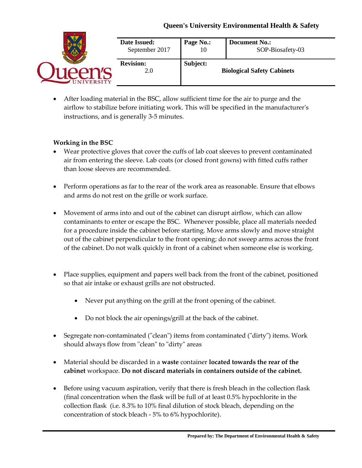|                 | Date Issued:            | Page No.: | <b>Document No.:</b>              |
|-----------------|-------------------------|-----------|-----------------------------------|
|                 | September 2017          | 10        | SOP-Biosafety-03                  |
| <b>IVERSITY</b> | <b>Revision:</b><br>2.0 | Subject:  | <b>Biological Safety Cabinets</b> |

 After loading material in the BSC, allow sufficient time for the air to purge and the airflow to stabilize before initiating work. This will be specified in the manufacturer's instructions, and is generally 3-5 minutes.

### **Working in the BSC**

- Wear protective gloves that cover the cuffs of lab coat sleeves to prevent contaminated air from entering the sleeve. Lab coats (or closed front gowns) with fitted cuffs rather than loose sleeves are recommended.
- Perform operations as far to the rear of the work area as reasonable. Ensure that elbows and arms do not rest on the grille or work surface.
- Movement of arms into and out of the cabinet can disrupt airflow, which can allow contaminants to enter or escape the BSC. Whenever possible, place all materials needed for a procedure inside the cabinet before starting. Move arms slowly and move straight out of the cabinet perpendicular to the front opening; do not sweep arms across the front of the cabinet. Do not walk quickly in front of a cabinet when someone else is working.
- Place supplies, equipment and papers well back from the front of the cabinet, positioned so that air intake or exhaust grills are not obstructed.
	- Never put anything on the grill at the front opening of the cabinet.
	- Do not block the air openings/grill at the back of the cabinet.
- Segregate non-contaminated ("clean") items from contaminated ("dirty") items. Work should always flow from "clean" to "dirty" areas
- Material should be discarded in a **waste** container **located towards the rear of the cabinet** workspace. **Do not discard materials in containers outside of the cabinet.**
- Before using vacuum aspiration, verify that there is fresh bleach in the collection flask (final concentration when the flask will be full of at least 0.5% hypochlorite in the collection flask (i.e. 8.3% to 10% final dilution of stock bleach, depending on the concentration of stock bleach - 5% to 6% hypochlorite).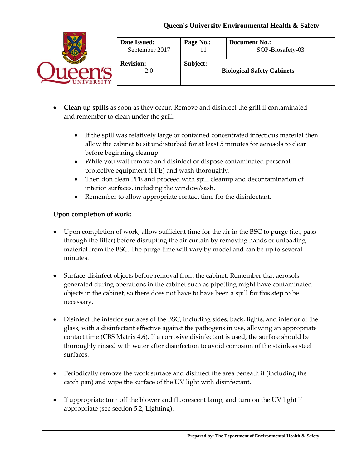|                  | Date Issued:<br>September 2017 | Page No.: | <b>Document No.:</b><br>SOP-Biosafety-03 |
|------------------|--------------------------------|-----------|------------------------------------------|
| <b>NIVERSITY</b> | <b>Revision:</b><br>2.0        | Subject:  | <b>Biological Safety Cabinets</b>        |

- **Clean up spills** as soon as they occur. Remove and disinfect the grill if contaminated and remember to clean under the grill.
	- If the spill was relatively large or contained concentrated infectious material then allow the cabinet to sit undisturbed for at least 5 minutes for aerosols to clear before beginning cleanup.
	- While you wait remove and disinfect or dispose contaminated personal protective equipment (PPE) and wash thoroughly.
	- Then don clean PPE and proceed with spill cleanup and decontamination of interior surfaces, including the window/sash.
	- Remember to allow appropriate contact time for the disinfectant.

# **Upon completion of work:**

- Upon completion of work, allow sufficient time for the air in the BSC to purge (i.e., pass through the filter) before disrupting the air curtain by removing hands or unloading material from the BSC. The purge time will vary by model and can be up to several minutes.
- Surface-disinfect objects before removal from the cabinet. Remember that aerosols generated during operations in the cabinet such as pipetting might have contaminated objects in the cabinet, so there does not have to have been a spill for this step to be necessary.
- Disinfect the interior surfaces of the BSC, including sides, back, lights, and interior of the glass, with a disinfectant effective against the pathogens in use, allowing an appropriate contact time (CBS Matrix 4.6). If a corrosive disinfectant is used, the surface should be thoroughly rinsed with water after disinfection to avoid corrosion of the stainless steel surfaces.
- Periodically remove the work surface and disinfect the area beneath it (including the catch pan) and wipe the surface of the UV light with disinfectant.
- If appropriate turn off the blower and fluorescent lamp, and turn on the UV light if appropriate (see section 5.2, Lighting).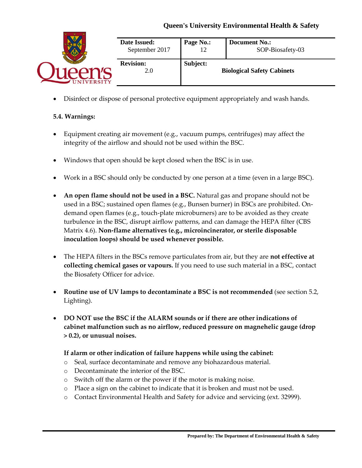|                  | Date Issued:<br>September 2017 | Page No.: | <b>Document No.:</b><br>SOP-Biosafety-03 |
|------------------|--------------------------------|-----------|------------------------------------------|
| <b>NIVERSITY</b> | <b>Revision:</b><br>2.0        | Subject:  | <b>Biological Safety Cabinets</b>        |

Disinfect or dispose of personal protective equipment appropriately and wash hands.

#### **5.4. Warnings:**

- Equipment creating air movement (e.g., vacuum pumps, centrifuges) may affect the integrity of the airflow and should not be used within the BSC.
- Windows that open should be kept closed when the BSC is in use.
- Work in a BSC should only be conducted by one person at a time (even in a large BSC).
- **An open flame should not be used in a BSC.** Natural gas and propane should not be used in a BSC; sustained open flames (e.g., Bunsen burner) in BSCs are prohibited. Ondemand open flames (e.g., touch-plate microburners) are to be avoided as they create turbulence in the BSC, disrupt airflow patterns, and can damage the HEPA filter (CBS Matrix 4.6). **Non-flame alternatives (e.g., microincinerator, or sterile disposable inoculation loops) should be used whenever possible.**
- The HEPA filters in the BSCs remove particulates from air, but they are **not effective at collecting chemical gases or vapours.** If you need to use such material in a BSC, contact the Biosafety Officer for advice.
- **Routine use of UV lamps to decontaminate a BSC is not recommended** (see section 5.2, Lighting).
- **DO NOT use the BSC if the ALARM sounds or if there are other indications of cabinet malfunction such as no airflow, reduced pressure on magnehelic gauge (drop > 0.2), or unusual noises.**

#### **If alarm or other indication of failure happens while using the cabinet:**

- o Seal, surface decontaminate and remove any biohazardous material.
- o Decontaminate the interior of the BSC.
- o Switch off the alarm or the power if the motor is making noise.
- o Place a sign on the cabinet to indicate that it is broken and must not be used.
- o Contact Environmental Health and Safety for advice and servicing (ext. 32999).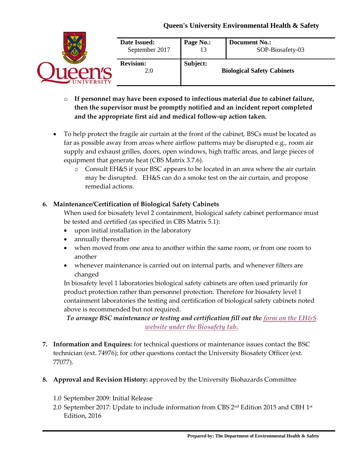|                    | Date Issued:<br>September 2017 | Page No.: | <b>Document No.:</b><br>SOP-Biosafety-03 |
|--------------------|--------------------------------|-----------|------------------------------------------|
| <b>IINIVERSITY</b> | <b>Revision:</b><br>2.0        | Subject:  | <b>Biological Safety Cabinets</b>        |

- o **If personnel may have been exposed to infectious material due to cabinet failure, then the supervisor must be promptly notified and an incident report completed and the appropriate first aid and medical follow-up action taken.**
- To help protect the fragile air curtain at the front of the cabinet, BSCs must be located as far as possible away from areas where airflow patterns may be disrupted e.g., room air supply and exhaust grilles, doors, open windows, high traffic areas, and large pieces of equipment that generate heat (CBS Matrix 3.7.6).
	- o Consult EH&S if your BSC appears to be located in an area where the air curtain may be disrupted. EH&S can do a smoke test on the air curtain, and propose remedial actions.

#### **6. Maintenance/Certification of Biological Safety Cabinets**

When used for biosafety level 2 containment, biological safety cabinet performance must be tested and certified (as specified in CBS Matrix 5.1):

- upon initial installation in the laboratory
- annually thereafter
- when moved from one area to another within the same room, or from one room to another
- whenever maintenance is carried out on internal parts, and whenever filters are changed

In biosafety level 1 laboratories biological safety cabinets are often used primarily for product protection rather than personnel protection. Therefore for biosafety level 1 containment laboratories the testing and certification of biological safety cabinets noted above is recommended but not required.

*To arrange BSC maintenance or testing and certification fill out the [form on the EH&S](http://www.safety.queensu.ca/biocom/biohood.htm)  [website under the Biosafety tab.](http://www.safety.queensu.ca/biocom/biohood.htm)*

- **7. Information and Enquires:** for technical questions or maintenance issues contact the BSC technician (ext. 74976); for other questions contact the University Biosafety Officer (ext. 77077).
- **8. Approval and Revision History:** approved by the University Biohazards Committee
	- 1.0 September 2009: Initial Release
	- 2.0 September 2017: Update to include information from CBS  $2<sup>nd</sup>$  Edition 2015 and CBH  $1<sup>st</sup>$ Edition, 2016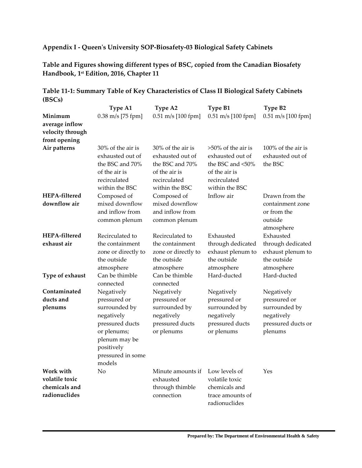## **Appendix I - Queen's University SOP-Biosafety-03 Biological Safety Cabinets**

**Table and Figures showing different types of BSC, copied from the Canadian Biosafety Handbook, 1st Edition, 2016, Chapter 11**

|                                                                | Type A1                                                                                                                                                   | Type A2                                                                                                     | Type B1                                                                                                          | Type B2                                                                                    |
|----------------------------------------------------------------|-----------------------------------------------------------------------------------------------------------------------------------------------------------|-------------------------------------------------------------------------------------------------------------|------------------------------------------------------------------------------------------------------------------|--------------------------------------------------------------------------------------------|
| Minimum<br>average inflow<br>velocity through<br>front opening | $0.38$ m/s [75 fpm]                                                                                                                                       | $0.51 \text{ m/s}$ [100 fpm]                                                                                | 0.51 m/s [100 fpm]                                                                                               | 0.51 m/s [100 fpm]                                                                         |
| Air patterns                                                   | 30% of the air is<br>exhausted out of<br>the BSC and 70%<br>of the air is<br>recirculated<br>within the BSC                                               | 30% of the air is<br>exhausted out of<br>the BSC and 70%<br>of the air is<br>recirculated<br>within the BSC | $>50\%$ of the air is<br>exhausted out of<br>the BSC and <50%<br>of the air is<br>recirculated<br>within the BSC | 100% of the air is<br>exhausted out of<br>the BSC                                          |
| HEPA-filtered<br>downflow air                                  | Composed of<br>mixed downflow<br>and inflow from<br>common plenum                                                                                         | Composed of<br>mixed downflow<br>and inflow from<br>common plenum                                           | Inflow air                                                                                                       | Drawn from the<br>containment zone<br>or from the<br>outside<br>atmosphere                 |
| HEPA-filtered<br>exhaust air                                   | Recirculated to<br>the containment<br>zone or directly to<br>the outside<br>atmosphere                                                                    | Recirculated to<br>the containment<br>zone or directly to<br>the outside<br>atmosphere                      | Exhausted<br>through dedicated<br>exhaust plenum to<br>the outside<br>atmosphere                                 | Exhausted<br>through dedicated<br>exhaust plenum to<br>the outside<br>atmosphere           |
| Type of exhaust                                                | Can be thimble<br>connected                                                                                                                               | Can be thimble<br>connected                                                                                 | Hard-ducted                                                                                                      | Hard-ducted                                                                                |
| Contaminated<br>ducts and<br>plenums                           | Negatively<br>pressured or<br>surrounded by<br>negatively<br>pressured ducts<br>or plenums;<br>plenum may be<br>positively<br>pressured in some<br>models | Negatively<br>pressured or<br>surrounded by<br>negatively<br>pressured ducts<br>or plenums                  | Negatively<br>pressured or<br>surrounded by<br>negatively<br>pressured ducts<br>or plenums                       | Negatively<br>pressured or<br>surrounded by<br>negatively<br>pressured ducts or<br>plenums |
| Work with<br>volatile toxic                                    | No                                                                                                                                                        | Minute amounts if<br>exhausted                                                                              | Low levels of<br>volatile toxic                                                                                  | Yes                                                                                        |
| chemicals and<br>radionuclides                                 |                                                                                                                                                           | through thimble<br>connection                                                                               | chemicals and<br>trace amounts of<br>radionuclides                                                               |                                                                                            |

### **Table 11-1: Summary Table of Key Characteristics of Class II Biological Safety Cabinets (BSCs)**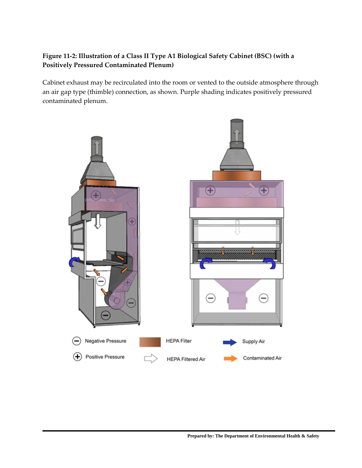# **Figure 11-2: Illustration of a Class II Type A1 Biological Safety Cabinet (BSC) (with a Positively Pressured Contaminated Plenum)**

Cabinet exhaust may be recirculated into the room or vented to the outside atmosphere through an air gap type (thimble) connection, as shown. Purple shading indicates positively pressured contaminated plenum.

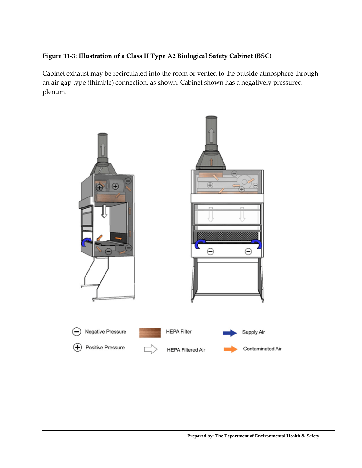# **Figure 11-3: Illustration of a Class II Type A2 Biological Safety Cabinet (BSC)**

Cabinet exhaust may be recirculated into the room or vented to the outside atmosphere through an air gap type (thimble) connection, as shown. Cabinet shown has a negatively pressured plenum.